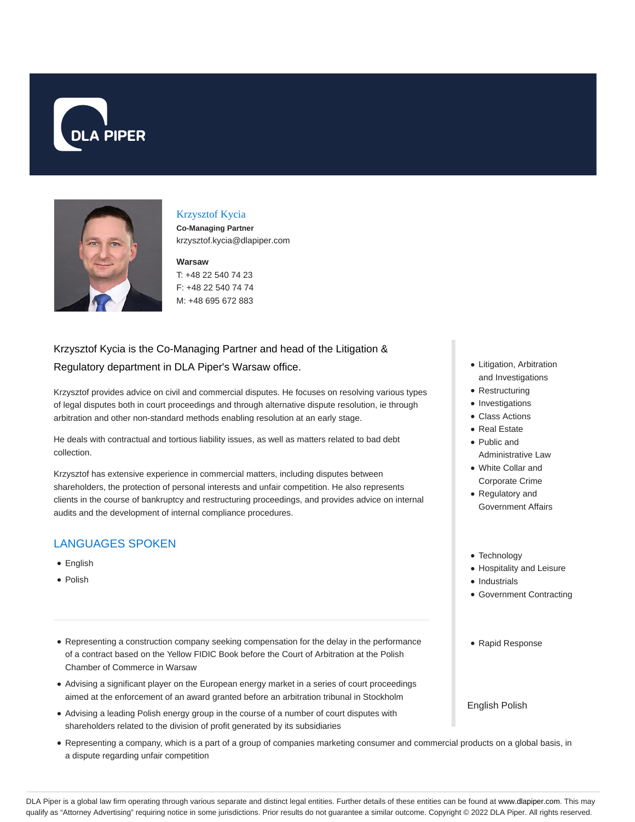



#### Krzysztof Kycia

**Co-Managing Partner** krzysztof.kycia@dlapiper.com

#### **Warsaw**

T: +48 22 540 74 23 F: +48 22 540 74 74 M: +48 695 672 883

## Krzysztof Kycia is the Co-Managing Partner and head of the Litigation & Regulatory department in DLA Piper's Warsaw office.

Krzysztof provides advice on civil and commercial disputes. He focuses on resolving various types of legal disputes both in court proceedings and through alternative dispute resolution, ie through arbitration and other non-standard methods enabling resolution at an early stage.

He deals with contractual and tortious liability issues, as well as matters related to bad debt collection.

Krzysztof has extensive experience in commercial matters, including disputes between shareholders, the protection of personal interests and unfair competition. He also represents clients in the course of bankruptcy and restructuring proceedings, and provides advice on internal audits and the development of internal compliance procedures.

## LANGUAGES SPOKEN

- English
- Polish
- Representing a construction company seeking compensation for the delay in the performance of a contract based on the Yellow FIDIC Book before the Court of Arbitration at the Polish Chamber of Commerce in Warsaw
- Advising a significant player on the European energy market in a series of court proceedings aimed at the enforcement of an award granted before an arbitration tribunal in Stockholm
- Advising a leading Polish energy group in the course of a number of court disputes with shareholders related to the division of profit generated by its subsidiaries
- Representing a company, which is a part of a group of companies marketing consumer and commercial products on a global basis, in a dispute regarding unfair competition
- Litigation, Arbitration and Investigations
- Restructuring
- Investigations
- Class Actions
- Real Estate
- Public and Administrative Law
- White Collar and Corporate Crime
- Regulatory and
- Government Affairs
- Technology
- Hospitality and Leisure
- Industrials
- Government Contracting
- Rapid Response

English Polish

DLA Piper is a global law firm operating through various separate and distinct legal entities. Further details of these entities can be found at www.dlapiper.com. This may qualify as "Attorney Advertising" requiring notice in some jurisdictions. Prior results do not guarantee a similar outcome. Copyright © 2022 DLA Piper. All rights reserved.